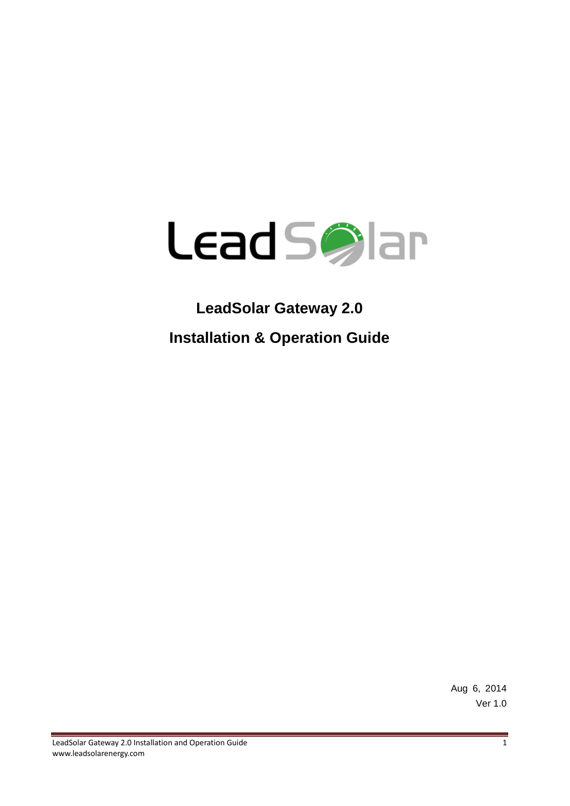

# **LeadSolar Gateway 2.0 Installation & Operation Guide**

Aug 6, 2014 Ver 1.0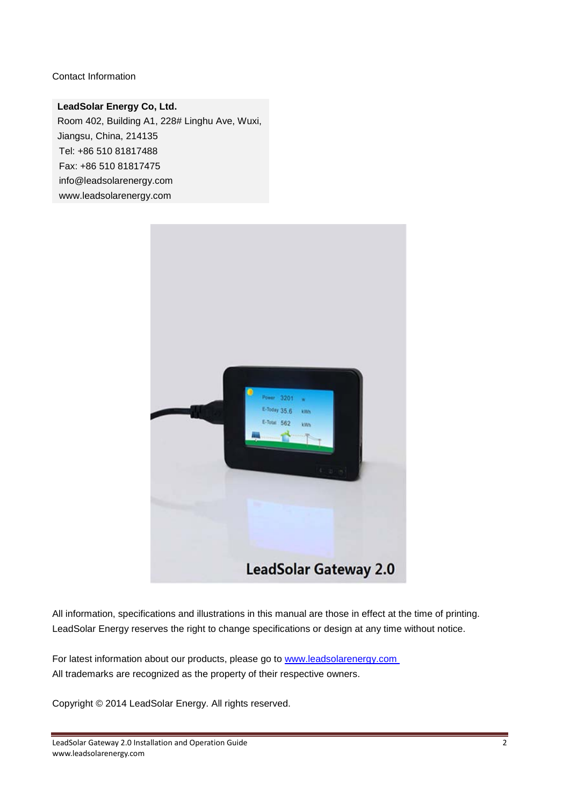Contact Information

### **LeadSolar Energy Co, Ltd.**

Room 402, Building A1, 228# Linghu Ave, Wuxi, Jiangsu, China, 214135 Tel: +86 510 81817488 Fax: +86 510 81817475 info@leadsolarenergy.com www.leadsolarenergy.com



All information, specifications and illustrations in this manual are those in effect at the time of printing. LeadSolar Energy reserves the right to change specifications or design at any time without notice.

For latest information about our products, please go to www.leadsolarenergy.com All trademarks are recognized as the property of their respective owners.

Copyright © 2014 LeadSolar Energy. All rights reserved.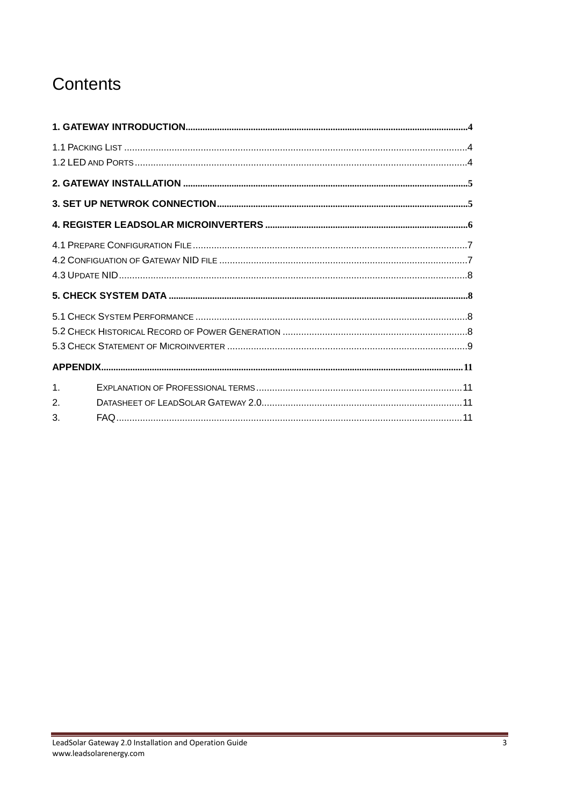## Contents

| $\mathbf 1$<br>2.<br>3. |  |
|-------------------------|--|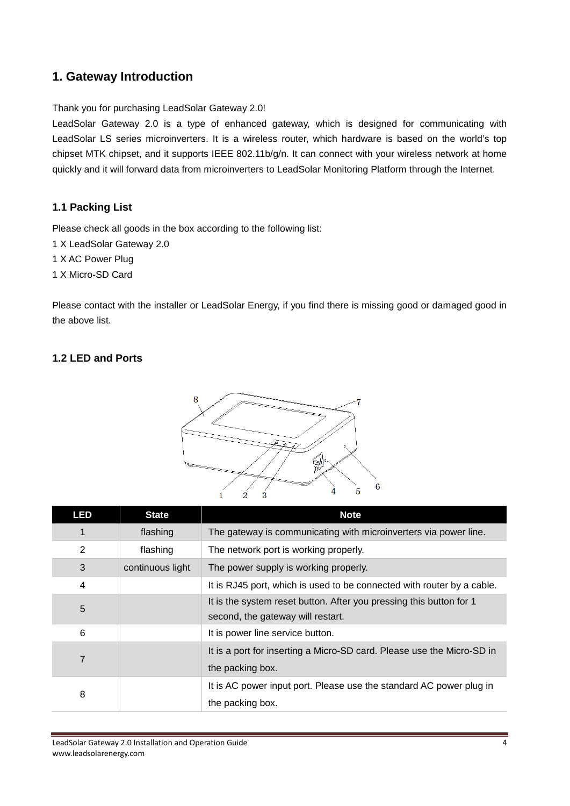## <span id="page-3-0"></span>**1. Gateway Introduction**

#### Thank you for purchasing LeadSolar Gateway 2.0!

LeadSolar Gateway 2.0 is a type of enhanced gateway, which is designed for communicating with LeadSolar LS series microinverters. It is a wireless router, which hardware is based on the world's top chipset MTK chipset, and it supports IEEE 802.11b/g/n. It can connect with your wireless network at home quickly and it will forward data from microinverters to LeadSolar Monitoring Platform through the Internet.

## <span id="page-3-1"></span>**1.1 Packing List**

Please check all goods in the box according to the following list:

- 1 X LeadSolar Gateway 2.0
- 1 X AC Power Plug
- 1 X Micro-SD Card

Please contact with the installer or LeadSolar Energy, if you find there is missing good or damaged good in the above list.

## <span id="page-3-2"></span>**1.2 LED and Ports**



| <b>LED</b> | <b>State</b>     | <b>Note</b>                                                                                              |  |
|------------|------------------|----------------------------------------------------------------------------------------------------------|--|
| 1          | flashing         | The gateway is communicating with microinverters via power line.                                         |  |
| 2          | flashing         | The network port is working properly.                                                                    |  |
| 3          | continuous light | The power supply is working properly.                                                                    |  |
| 4          |                  | It is RJ45 port, which is used to be connected with router by a cable.                                   |  |
| 5          |                  | It is the system reset button. After you pressing this button for 1<br>second, the gateway will restart. |  |
| 6          |                  | It is power line service button.                                                                         |  |
| 7          |                  | It is a port for inserting a Micro-SD card. Please use the Micro-SD in<br>the packing box.               |  |
| 8          |                  | It is AC power input port. Please use the standard AC power plug in<br>the packing box.                  |  |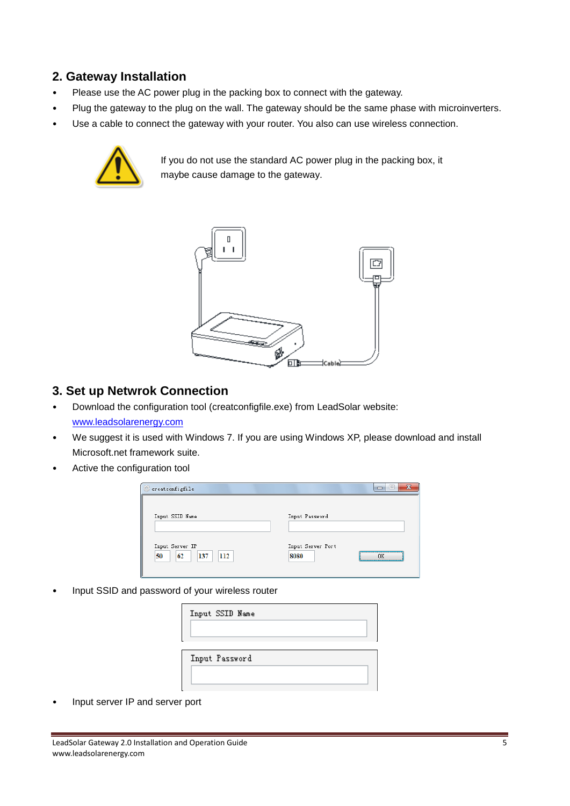## <span id="page-4-0"></span>**2. Gateway Installation**

- Please use the AC power plug in the packing box to connect with the gateway.
- Plug the gateway to the plug on the wall. The gateway should be the same phase with microinverters.
- Use a cable to connect the gateway with your router. You also can use wireless connection.



If you do not use the standard AC power plug in the packing box, it maybe cause damage to the gateway.



## <span id="page-4-1"></span>**3. Set up Netwrok Connection**

- Download the configuration tool (creatconfigfile.exe) from LeadSolar website: [www.leadsolarenergy.com](http://www.leadsolarenergy.com/)
- We suggest it is used with Windows 7. If you are using Windows XP, please download and install Microsoft.net framework suite.
- Active the configuration tool

| x<br>$\qquad \qquad \Box$<br>⊐  |
|---------------------------------|
| Input Password                  |
| Input Server Port<br>8080<br>nк |
|                                 |

• Input SSID and password of your wireless router

| Input SSID Name |  |
|-----------------|--|
|                 |  |
|                 |  |
| Input Password  |  |
|                 |  |
|                 |  |

• Input server IP and server port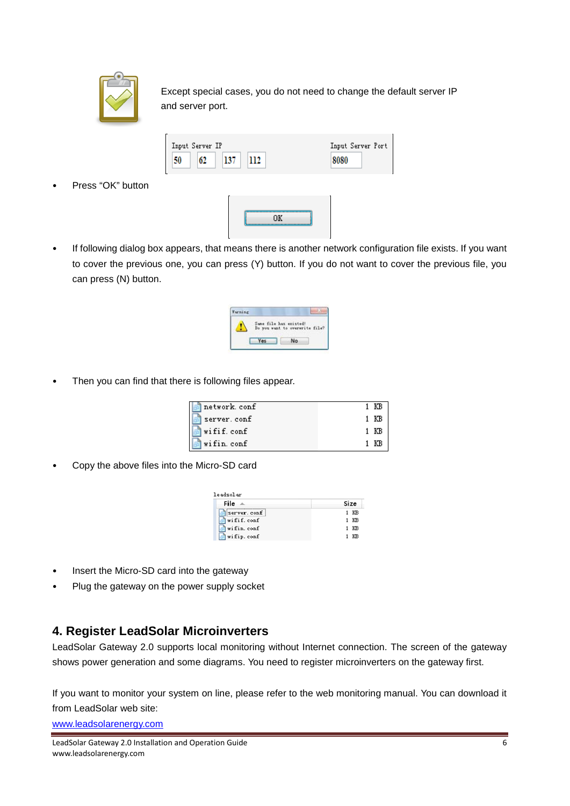

Press "OK" button

Except special cases, you do not need to change the default server IP and server port.

| Input Server IP |     | Input Server Port |
|-----------------|-----|-------------------|
|                 | 137 | 8080              |



• If following dialog box appears, that means there is another network configuration file exists. If you want to cover the previous one, you can press (Y) button. If you do not want to cover the previous file, you can press (N) button.



Then you can find that there is following files appear.

| network, conf | 1 KB |  |
|---------------|------|--|
| server, conf  | 1 KB |  |
| wifif.conf    | 1 KB |  |
| wifin.conf    | 1 KB |  |

• Copy the above files into the Micro-SD card

| File         | Size |
|--------------|------|
| server, conf | 1 KB |
| wifif.conf   | 1 KB |
| wifin.conf   | 1 KB |
| wifip.conf   | - KB |

- Insert the Micro-SD card into the gateway
- Plug the gateway on the power supply socket

## <span id="page-5-0"></span>**4. Register LeadSolar Microinverters**

LeadSolar Gateway 2.0 supports local monitoring without Internet connection. The screen of the gateway shows power generation and some diagrams. You need to register microinverters on the gateway first.

If you want to monitor your system on line, please refer to the web monitoring manual. You can download it from LeadSolar web site:

[www.leadsolarenergy.com](http://www.leadsolarenergy.com/)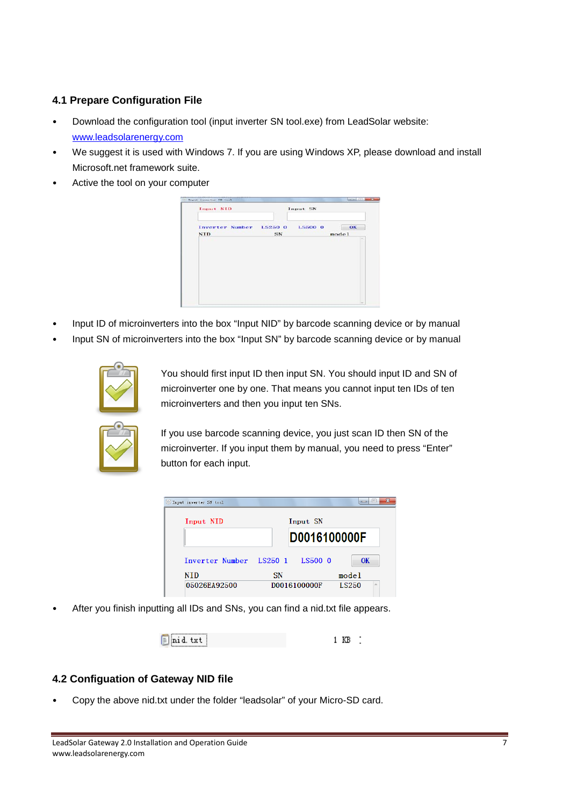## <span id="page-6-0"></span>**4.1 Prepare Configuration File**

- Download the configuration tool (input inverter SN tool.exe) from LeadSolar website: [www.leadsolarenergy.com](http://www.leadsolarenergy.com/)
- We suggest it is used with Windows 7. If you are using Windows XP, please download and install Microsoft.net framework suite.
- Active the tool on your computer



- Input ID of microinverters into the box "Input NID" by barcode scanning device or by manual
- Input SN of microinverters into the box "Input SN" by barcode scanning device or by manual



You should first input ID then input SN. You should input ID and SN of microinverter one by one. That means you cannot input ten IDs of ten microinverters and then you input ten SNs.



If you use barcode scanning device, you just scan ID then SN of the microinverter. If you input them by manual, you need to press "Enter" button for each input.

| Input inverter SN tool |              | $\Box$<br>$\equiv$   |
|------------------------|--------------|----------------------|
| Input NID              | Input SN     |                      |
|                        |              | D0016100000F         |
| Inverter Number        | LS250 1      | LS500 0<br><b>OK</b> |
| <b>NTD</b>             | SN           | model                |
| 05026EA92500           | D0016100000F | LS250                |

After you finish inputting all IDs and SNs, you can find a nid.txt file appears.



### <span id="page-6-1"></span>**4.2 Configuation of Gateway NID file**

• Copy the above nid.txt under the folder "leadsolar" of your Micro-SD card.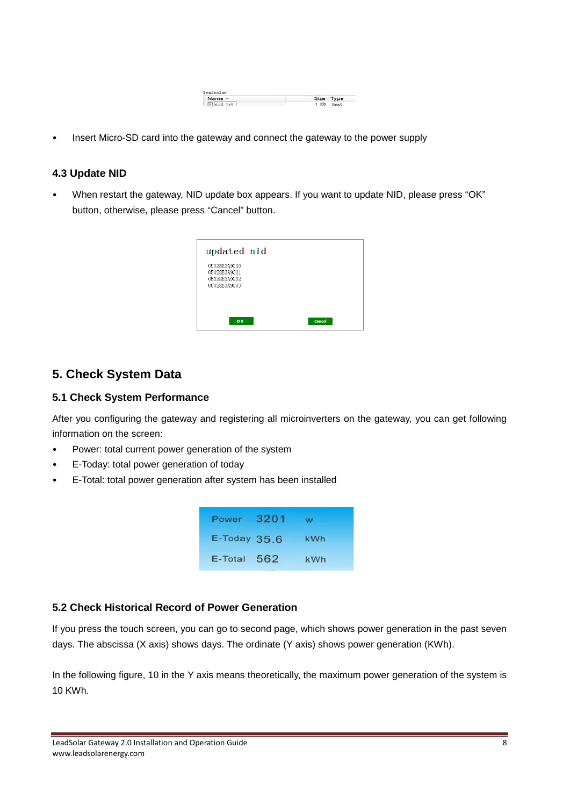| leadsolar |        |           |
|-----------|--------|-----------|
| Name -    |        | Size Type |
| s nid txt | $1$ KB | text.     |

• Insert Micro-SD card into the gateway and connect the gateway to the power supply

### <span id="page-7-0"></span>**4.3 Update NID**

• When restart the gateway, NID update box appears. If you want to update NID, please press "OK" button, otherwise, please press "Cancel" button.

| updated nid                                                  |               |
|--------------------------------------------------------------|---------------|
| 05028E3A9C00<br>05028E3A9C01<br>05028E3A9C02<br>05028E3A9C03 |               |
| <b>OK</b>                                                    | <b>Cancel</b> |

## <span id="page-7-1"></span>**5. Check System Data**

#### <span id="page-7-2"></span>**5.1 Check System Performance**

After you configuring the gateway and registering all microinverters on the gateway, you can get following information on the screen:

- Power: total current power generation of the system
- E-Today: total power generation of today
- E-Total: total power generation after system has been installed

| Power           | 3201 | w   |
|-----------------|------|-----|
| $E$ -Today 35.6 |      | kWh |
| E-Total 562     |      | kWh |

#### <span id="page-7-3"></span>**5.2 Check Historical Record of Power Generation**

If you press the touch screen, you can go to second page, which shows power generation in the past seven days. The abscissa (X axis) shows days. The ordinate (Y axis) shows power generation (KWh).

In the following figure, 10 in the Y axis means theoretically, the maximum power generation of the system is 10 KWh.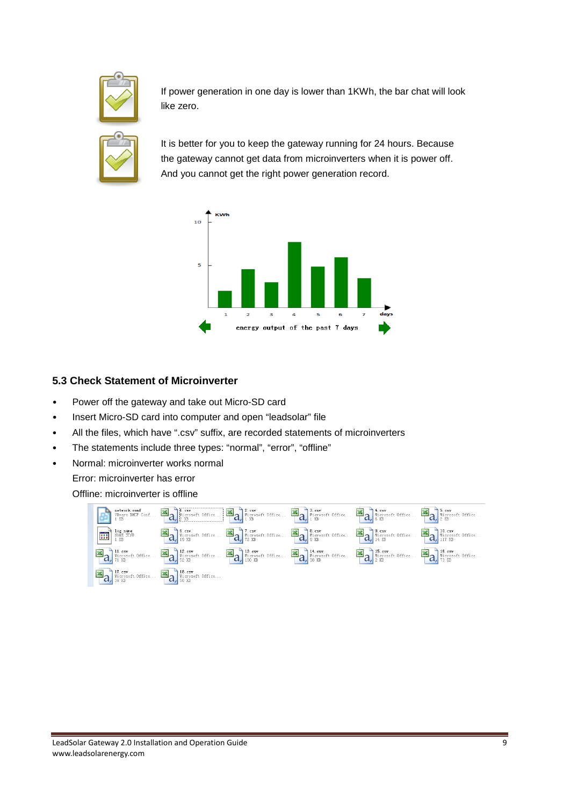

If power generation in one day is lower than 1KWh, the bar chat will look like zero.



It is better for you to keep the gateway running for 24 hours. Because the gateway cannot get data from microinverters when it is power off. And you cannot get the right power generation record.



## <span id="page-8-0"></span>**5.3 Check Statement of Microinverter**

- Power off the gateway and take out Micro-SD card
- Insert Micro-SD card into computer and open "leadsolar" file
- All the files, which have ".csv" suffix, are recorded statements of microinverters
- The statements include three types: "normal", "error", "offline"
- Normal: microinverter works normal Error: microinverter has error

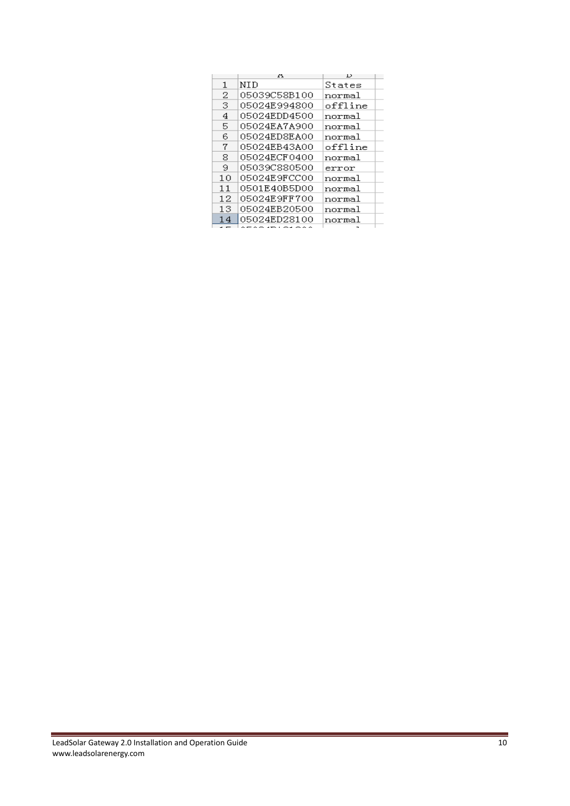|    | л            | ₽       |
|----|--------------|---------|
| 1  | NID          | States  |
| 2  | 05039C58B100 | normal  |
| З  | 05024E994800 | offline |
| 4  | 05024EDD4500 | normal  |
| 5  | 05024EA7A900 | normal  |
| 6  | 05024ED8EA00 | normal  |
| 7  | 05024EB43A00 | offline |
| 8  | 05024ECF0400 | normal  |
| 9  | 05039C880500 | error   |
| 10 | 05024E9FCC00 | normal  |
| 11 | 0501E40B5D00 | normal  |
| 12 | 05024E9FF700 | normal  |
| 13 | 05024EB20500 | normal  |
| 14 | 05024ED28100 | normal  |
|    | $- - - - -$  |         |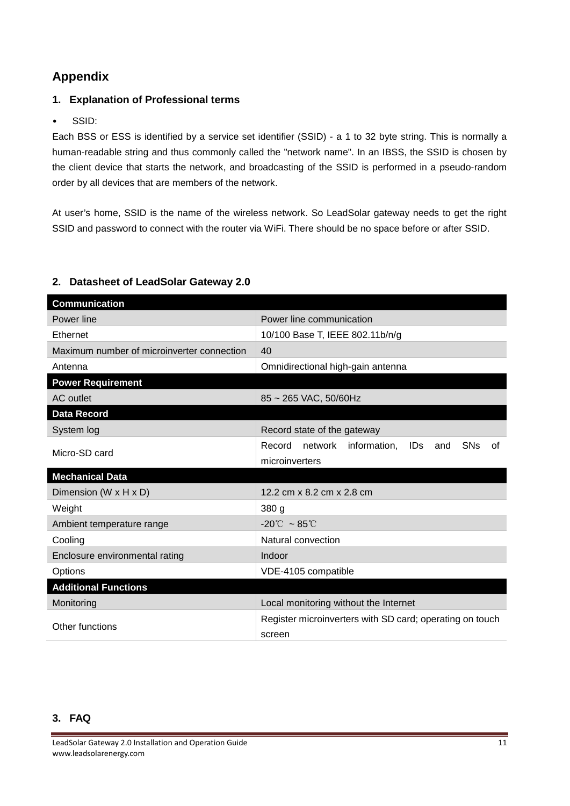## <span id="page-10-0"></span>**Appendix**

## <span id="page-10-1"></span>**1. Explanation of Professional terms**

• SSID:

Each BSS or ESS is identified by a service set identifier (SSID) - a 1 to 32 byte string. This is normally a human-readable string and thus commonly called the "network name". In an IBSS, the SSID is chosen by the client device that starts the network, and broadcasting of the SSID is performed in a pseudo-random order by all devices that are members of the network.

At user's home, SSID is the name of the wireless network. So LeadSolar gateway needs to get the right SSID and password to connect with the router via WiFi. There should be no space before or after SSID.

## <span id="page-10-2"></span>**2. Datasheet of LeadSolar Gateway 2.0**

| <b>Communication</b>                       |                                                                              |
|--------------------------------------------|------------------------------------------------------------------------------|
| Power line                                 | Power line communication                                                     |
| Ethernet                                   | 10/100 Base T, IEEE 802.11b/n/g                                              |
| Maximum number of microinverter connection | 40                                                                           |
| Antenna                                    | Omnidirectional high-gain antenna                                            |
| <b>Power Requirement</b>                   |                                                                              |
| AC outlet                                  | 85 ~ 265 VAC, 50/60Hz                                                        |
| <b>Data Record</b>                         |                                                                              |
| System log                                 | Record state of the gateway                                                  |
| Micro-SD card                              | <b>SN<sub>s</sub></b><br>Record network<br>information,<br>IDs.<br>and<br>Ωf |
|                                            | microinverters                                                               |
| <b>Mechanical Data</b>                     |                                                                              |
|                                            |                                                                              |
| Dimension (W x H x D)                      | 12.2 cm x 8.2 cm x 2.8 cm                                                    |
| Weight                                     | 380 <sub>g</sub>                                                             |
| Ambient temperature range                  | $-20^{\circ}$ ~ 85 $^{\circ}$ C                                              |
| Cooling                                    | Natural convection                                                           |
| Enclosure environmental rating             | Indoor                                                                       |
| Options                                    | VDE-4105 compatible                                                          |
| <b>Additional Functions</b>                |                                                                              |
| Monitoring                                 | Local monitoring without the Internet                                        |
| Other functions                            | Register microinverters with SD card; operating on touch                     |

## <span id="page-10-3"></span>**3. FAQ**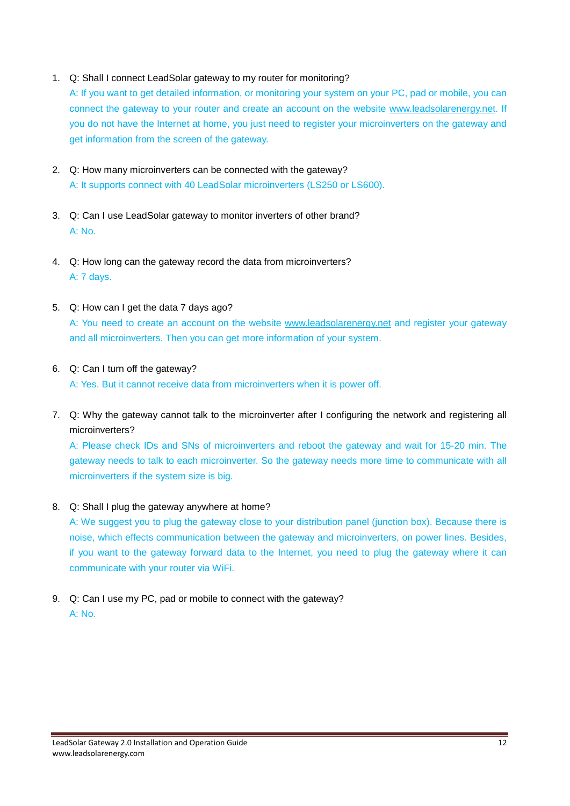1. Q: Shall I connect LeadSolar gateway to my router for monitoring?

A: If you want to get detailed information, or monitoring your system on your PC, pad or mobile, you can connect the gateway to your router and create an account on the website [www.leadsolarenergy.net.](http://www.leadsolarenergy.net/) If you do not have the Internet at home, you just need to register your microinverters on the gateway and get information from the screen of the gateway.

- 2. Q: How many microinverters can be connected with the gateway? A: It supports connect with 40 LeadSolar microinverters (LS250 or LS600).
- 3. Q: Can I use LeadSolar gateway to monitor inverters of other brand? A: No.
- 4. Q: How long can the gateway record the data from microinverters? A: 7 days.
- 5. Q: How can I get the data 7 days ago? A: You need to create an account on the website [www.leadsolarenergy.net](http://www.leadsolarenergy.net/) and register your gateway and all microinverters. Then you can get more information of your system.

#### 6. Q: Can I turn off the gateway?

A: Yes. But it cannot receive data from microinverters when it is power off.

7. Q: Why the gateway cannot talk to the microinverter after I configuring the network and registering all microinverters?

A: Please check IDs and SNs of microinverters and reboot the gateway and wait for 15-20 min. The gateway needs to talk to each microinverter. So the gateway needs more time to communicate with all microinverters if the system size is big.

8. Q: Shall I plug the gateway anywhere at home?

A: We suggest you to plug the gateway close to your distribution panel (junction box). Because there is noise, which effects communication between the gateway and microinverters, on power lines. Besides, if you want to the gateway forward data to the Internet, you need to plug the gateway where it can communicate with your router via WiFi.

9. Q: Can I use my PC, pad or mobile to connect with the gateway? A: No.